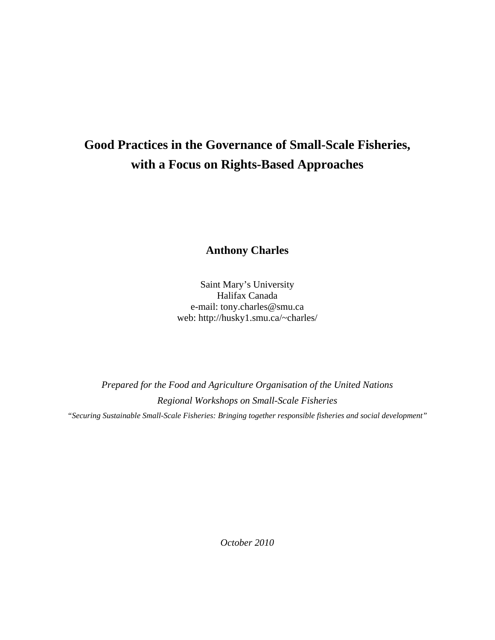# **Good Practices in the Governance of Small-Scale Fisheries, with a Focus on Rights-Based Approaches**

**Anthony Charles** 

Saint Mary's University Halifax Canada e-mail: tony.charles@smu.ca web: http://husky1.smu.ca/~charles/

*Prepared for the Food and Agriculture Organisation of the United Nations Regional Workshops on Small-Scale Fisheries "Securing Sustainable Small-Scale Fisheries: Bringing together responsible fisheries and social development"* 

*October 2010*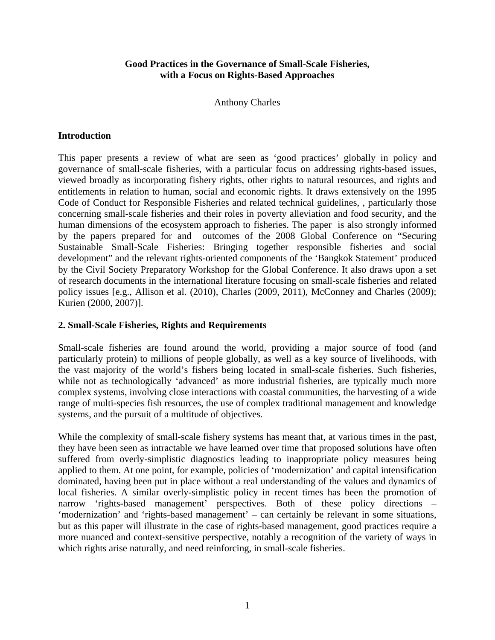#### **Good Practices in the Governance of Small-Scale Fisheries, with a Focus on Rights-Based Approaches**

Anthony Charles

#### **Introduction**

This paper presents a review of what are seen as 'good practices' globally in policy and governance of small-scale fisheries, with a particular focus on addressing rights-based issues, viewed broadly as incorporating fishery rights, other rights to natural resources, and rights and entitlements in relation to human, social and economic rights. It draws extensively on the 1995 Code of Conduct for Responsible Fisheries and related technical guidelines, , particularly those concerning small-scale fisheries and their roles in poverty alleviation and food security, and the human dimensions of the ecosystem approach to fisheries. The paper is also strongly informed by the papers prepared for and outcomes of the 2008 Global Conference on "Securing Sustainable Small-Scale Fisheries: Bringing together responsible fisheries and social development" and the relevant rights-oriented components of the 'Bangkok Statement' produced by the Civil Society Preparatory Workshop for the Global Conference. It also draws upon a set of research documents in the international literature focusing on small-scale fisheries and related policy issues [e.g., Allison et al. (2010), Charles (2009, 2011), McConney and Charles (2009); Kurien (2000, 2007)].

#### **2. Small-Scale Fisheries, Rights and Requirements**

Small-scale fisheries are found around the world, providing a major source of food (and particularly protein) to millions of people globally, as well as a key source of livelihoods, with the vast majority of the world's fishers being located in small-scale fisheries. Such fisheries, while not as technologically 'advanced' as more industrial fisheries, are typically much more complex systems, involving close interactions with coastal communities, the harvesting of a wide range of multi-species fish resources, the use of complex traditional management and knowledge systems, and the pursuit of a multitude of objectives.

While the complexity of small-scale fishery systems has meant that, at various times in the past, they have been seen as intractable we have learned over time that proposed solutions have often suffered from overly-simplistic diagnostics leading to inappropriate policy measures being applied to them. At one point, for example, policies of 'modernization' and capital intensification dominated, having been put in place without a real understanding of the values and dynamics of local fisheries. A similar overly-simplistic policy in recent times has been the promotion of narrow 'rights-based management' perspectives. Both of these policy directions – 'modernization' and 'rights-based management' – can certainly be relevant in some situations, but as this paper will illustrate in the case of rights-based management, good practices require a more nuanced and context-sensitive perspective, notably a recognition of the variety of ways in which rights arise naturally, and need reinforcing, in small-scale fisheries.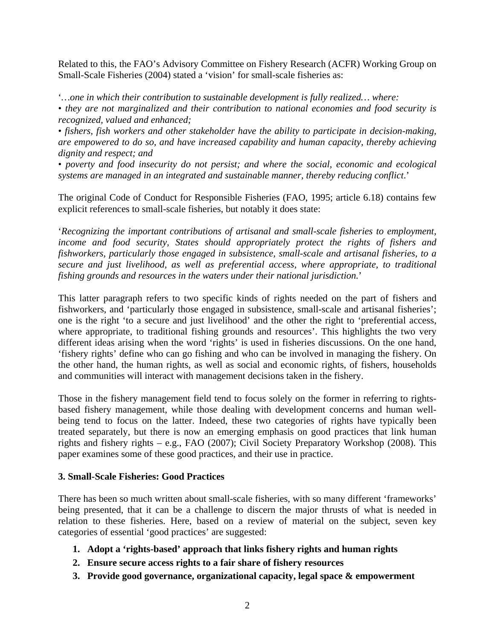Related to this, the FAO's Advisory Committee on Fishery Research (ACFR) Working Group on Small-Scale Fisheries (2004) stated a 'vision' for small-scale fisheries as:

'*…one in which their contribution to sustainable development is fully realized… where:* 

• *they are not marginalized and their contribution to national economies and food security is recognized, valued and enhanced;* 

• *fishers, fish workers and other stakeholder have the ability to participate in decision-making, are empowered to do so, and have increased capability and human capacity, thereby achieving dignity and respect; and* 

• *poverty and food insecurity do not persist; and where the social, economic and ecological systems are managed in an integrated and sustainable manner, thereby reducing conflict*.'

The original Code of Conduct for Responsible Fisheries (FAO, 1995; article 6.18) contains few explicit references to small-scale fisheries, but notably it does state:

'*Recognizing the important contributions of artisanal and small-scale fisheries to employment, income and food security, States should appropriately protect the rights of fishers and fishworkers, particularly those engaged in subsistence, small-scale and artisanal fisheries, to a secure and just livelihood, as well as preferential access, where appropriate, to traditional fishing grounds and resources in the waters under their national jurisdiction.*'

This latter paragraph refers to two specific kinds of rights needed on the part of fishers and fishworkers, and 'particularly those engaged in subsistence, small-scale and artisanal fisheries'; one is the right 'to a secure and just livelihood' and the other the right to 'preferential access, where appropriate, to traditional fishing grounds and resources'. This highlights the two very different ideas arising when the word 'rights' is used in fisheries discussions. On the one hand, 'fishery rights' define who can go fishing and who can be involved in managing the fishery. On the other hand, the human rights, as well as social and economic rights, of fishers, households and communities will interact with management decisions taken in the fishery.

Those in the fishery management field tend to focus solely on the former in referring to rightsbased fishery management, while those dealing with development concerns and human wellbeing tend to focus on the latter. Indeed, these two categories of rights have typically been treated separately, but there is now an emerging emphasis on good practices that link human rights and fishery rights – e.g., FAO (2007); Civil Society Preparatory Workshop (2008). This paper examines some of these good practices, and their use in practice.

#### **3. Small-Scale Fisheries: Good Practices**

There has been so much written about small-scale fisheries, with so many different 'frameworks' being presented, that it can be a challenge to discern the major thrusts of what is needed in relation to these fisheries. Here, based on a review of material on the subject, seven key categories of essential 'good practices' are suggested:

- **1. Adopt a 'rights-based' approach that links fishery rights and human rights**
- **2. Ensure secure access rights to a fair share of fishery resources**
- **3. Provide good governance, organizational capacity, legal space & empowerment**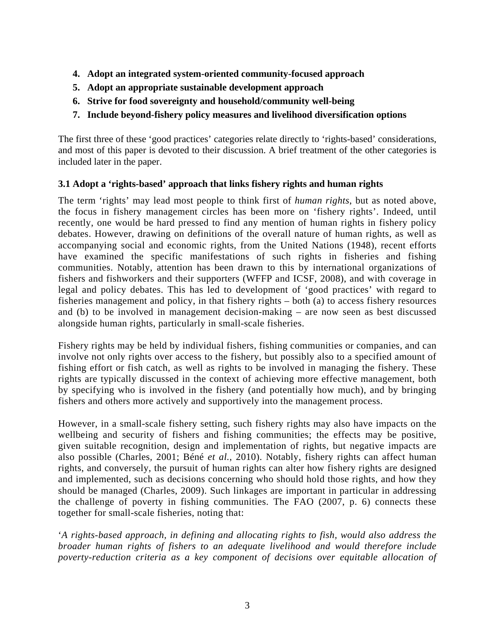- **4. Adopt an integrated system-oriented community-focused approach**
- **5. Adopt an appropriate sustainable development approach**
- **6. Strive for food sovereignty and household/community well-being**
- **7. Include beyond-fishery policy measures and livelihood diversification options**

The first three of these 'good practices' categories relate directly to 'rights-based' considerations, and most of this paper is devoted to their discussion. A brief treatment of the other categories is included later in the paper.

# **3.1 Adopt a 'rights-based' approach that links fishery rights and human rights**

The term 'rights' may lead most people to think first of *human rights*, but as noted above, the focus in fishery management circles has been more on 'fishery rights'. Indeed, until recently, one would be hard pressed to find any mention of human rights in fishery policy debates. However, drawing on definitions of the overall nature of human rights, as well as accompanying social and economic rights, from the United Nations (1948), recent efforts have examined the specific manifestations of such rights in fisheries and fishing communities. Notably, attention has been drawn to this by international organizations of fishers and fishworkers and their supporters (WFFP and ICSF, 2008), and with coverage in legal and policy debates. This has led to development of 'good practices' with regard to fisheries management and policy, in that fishery rights – both (a) to access fishery resources and (b) to be involved in management decision-making – are now seen as best discussed alongside human rights, particularly in small-scale fisheries.

Fishery rights may be held by individual fishers, fishing communities or companies, and can involve not only rights over access to the fishery, but possibly also to a specified amount of fishing effort or fish catch, as well as rights to be involved in managing the fishery. These rights are typically discussed in the context of achieving more effective management, both by specifying who is involved in the fishery (and potentially how much), and by bringing fishers and others more actively and supportively into the management process.

However, in a small-scale fishery setting, such fishery rights may also have impacts on the wellbeing and security of fishers and fishing communities; the effects may be positive, given suitable recognition, design and implementation of rights, but negative impacts are also possible (Charles, 2001; Béné *et al.*, 2010). Notably, fishery rights can affect human rights, and conversely, the pursuit of human rights can alter how fishery rights are designed and implemented, such as decisions concerning who should hold those rights, and how they should be managed (Charles, 2009). Such linkages are important in particular in addressing the challenge of poverty in fishing communities. The FAO (2007, p. 6) connects these together for small-scale fisheries, noting that:

'*A rights-based approach, in defining and allocating rights to fish, would also address the broader human rights of fishers to an adequate livelihood and would therefore include poverty-reduction criteria as a key component of decisions over equitable allocation of*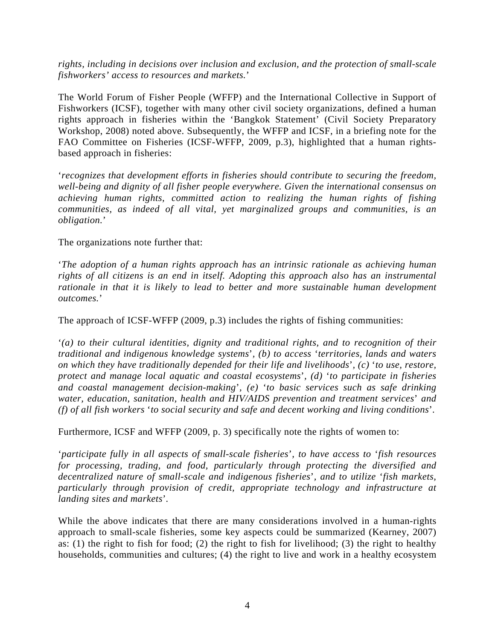*rights, including in decisions over inclusion and exclusion, and the protection of small-scale fishworkers' access to resources and markets.*'

The World Forum of Fisher People (WFFP) and the International Collective in Support of Fishworkers (ICSF), together with many other civil society organizations, defined a human rights approach in fisheries within the 'Bangkok Statement' (Civil Society Preparatory Workshop, 2008) noted above. Subsequently, the WFFP and ICSF, in a briefing note for the FAO Committee on Fisheries (ICSF-WFFP, 2009, p.3), highlighted that a human rightsbased approach in fisheries:

'*recognizes that development efforts in fisheries should contribute to securing the freedom, well-being and dignity of all fisher people everywhere. Given the international consensus on achieving human rights, committed action to realizing the human rights of fishing communities, as indeed of all vital, yet marginalized groups and communities, is an obligation.*'

The organizations note further that:

'*The adoption of a human rights approach has an intrinsic rationale as achieving human rights of all citizens is an end in itself. Adopting this approach also has an instrumental rationale in that it is likely to lead to better and more sustainable human development outcomes.*'

The approach of ICSF-WFFP (2009, p.3) includes the rights of fishing communities:

'*(a) to their cultural identities, dignity and traditional rights, and to recognition of their traditional and indigenous knowledge systems*'*, (b) to access* '*territories, lands and waters on which they have traditionally depended for their life and livelihoods*'*, (c)* '*to use, restore, protect and manage local aquatic and coastal ecosystems*'*, (d)* '*to participate in fisheries and coastal management decision-making*'*, (e)* '*to basic services such as safe drinking water, education, sanitation, health and HIV/AIDS prevention and treatment services*' *and (f) of all fish workers* '*to social security and safe and decent working and living conditions*'*.* 

Furthermore, ICSF and WFFP (2009, p. 3) specifically note the rights of women to:

'*participate fully in all aspects of small-scale fisheries*'*, to have access to* '*fish resources for processing, trading, and food, particularly through protecting the diversified and decentralized nature of small-scale and indigenous fisheries*'*, and to utilize* '*fish markets, particularly through provision of credit, appropriate technology and infrastructure at landing sites and markets*'*.* 

While the above indicates that there are many considerations involved in a human-rights approach to small-scale fisheries, some key aspects could be summarized (Kearney, 2007) as: (1) the right to fish for food; (2) the right to fish for livelihood; (3) the right to healthy households, communities and cultures; (4) the right to live and work in a healthy ecosystem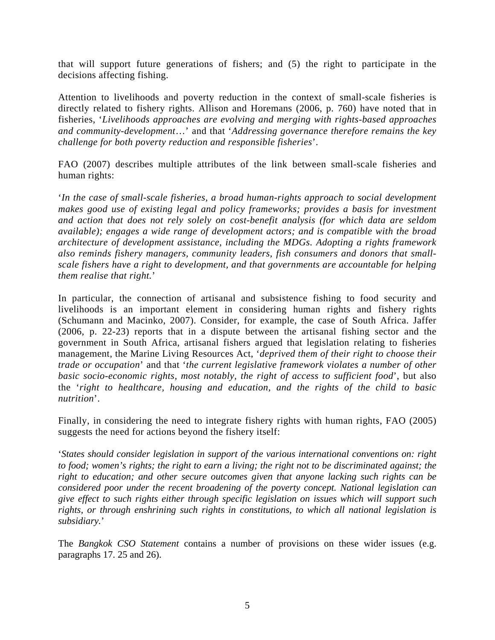that will support future generations of fishers; and (5) the right to participate in the decisions affecting fishing.

Attention to livelihoods and poverty reduction in the context of small-scale fisheries is directly related to fishery rights. Allison and Horemans (2006, p. 760) have noted that in fisheries, '*Livelihoods approaches are evolving and merging with rights-based approaches and community-development*…' and that '*Addressing governance therefore remains the key challenge for both poverty reduction and responsible fisheries*'.

FAO (2007) describes multiple attributes of the link between small-scale fisheries and human rights:

'*In the case of small-scale fisheries, a broad human-rights approach to social development makes good use of existing legal and policy frameworks; provides a basis for investment and action that does not rely solely on cost-benefit analysis (for which data are seldom available); engages a wide range of development actors; and is compatible with the broad architecture of development assistance, including the MDGs. Adopting a rights framework also reminds fishery managers, community leaders, fish consumers and donors that smallscale fishers have a right to development, and that governments are accountable for helping them realise that right.*'

In particular, the connection of artisanal and subsistence fishing to food security and livelihoods is an important element in considering human rights and fishery rights (Schumann and Macinko, 2007). Consider, for example, the case of South Africa. Jaffer (2006, p. 22-23) reports that in a dispute between the artisanal fishing sector and the government in South Africa, artisanal fishers argued that legislation relating to fisheries management, the Marine Living Resources Act, '*deprived them of their right to choose their trade or occupation*' and that '*the current legislative framework violates a number of other basic socio-economic rights, most notably, the right of access to sufficient food*', but also the '*right to healthcare, housing and education, and the rights of the child to basic nutrition*'.

Finally, in considering the need to integrate fishery rights with human rights, FAO (2005) suggests the need for actions beyond the fishery itself:

'*States should consider legislation in support of the various international conventions on: right to food; women's rights; the right to earn a living; the right not to be discriminated against; the right to education; and other secure outcomes given that anyone lacking such rights can be considered poor under the recent broadening of the poverty concept. National legislation can give effect to such rights either through specific legislation on issues which will support such rights, or through enshrining such rights in constitutions, to which all national legislation is subsidiary.*'

The *Bangkok CSO Statement* contains a number of provisions on these wider issues (e.g. paragraphs 17. 25 and 26).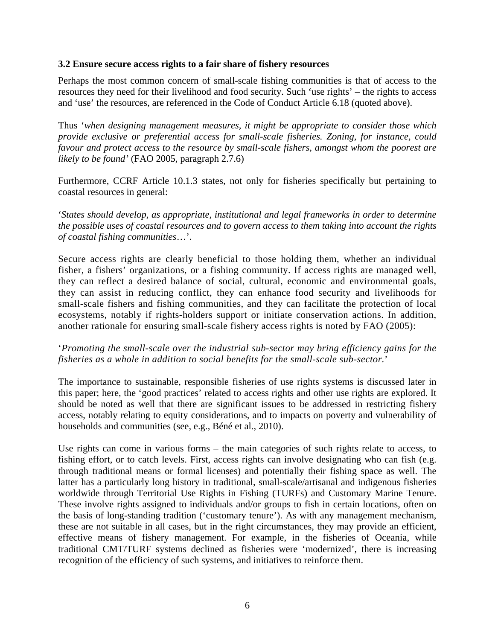#### **3.2 Ensure secure access rights to a fair share of fishery resources**

Perhaps the most common concern of small-scale fishing communities is that of access to the resources they need for their livelihood and food security. Such 'use rights' – the rights to access and 'use' the resources, are referenced in the Code of Conduct Article 6.18 (quoted above).

Thus '*when designing management measures, it might be appropriate to consider those which provide exclusive or preferential access for small-scale fisheries. Zoning, for instance, could favour and protect access to the resource by small-scale fishers, amongst whom the poorest are likely to be found'* (FAO 2005, paragraph 2.7.6)

Furthermore, CCRF Article 10.1.3 states, not only for fisheries specifically but pertaining to coastal resources in general:

'*States should develop, as appropriate, institutional and legal frameworks in order to determine the possible uses of coastal resources and to govern access to them taking into account the rights of coastal fishing communities*…'.

Secure access rights are clearly beneficial to those holding them, whether an individual fisher, a fishers' organizations, or a fishing community. If access rights are managed well, they can reflect a desired balance of social, cultural, economic and environmental goals, they can assist in reducing conflict, they can enhance food security and livelihoods for small-scale fishers and fishing communities, and they can facilitate the protection of local ecosystems, notably if rights-holders support or initiate conservation actions. In addition, another rationale for ensuring small-scale fishery access rights is noted by FAO (2005):

#### '*Promoting the small-scale over the industrial sub-sector may bring efficiency gains for the fisheries as a whole in addition to social benefits for the small-scale sub-sector.*'

The importance to sustainable, responsible fisheries of use rights systems is discussed later in this paper; here, the 'good practices' related to access rights and other use rights are explored. It should be noted as well that there are significant issues to be addressed in restricting fishery access, notably relating to equity considerations, and to impacts on poverty and vulnerability of households and communities (see, e.g., Béné et al., 2010).

Use rights can come in various forms – the main categories of such rights relate to access, to fishing effort, or to catch levels. First, access rights can involve designating who can fish (e.g. through traditional means or formal licenses) and potentially their fishing space as well. The latter has a particularly long history in traditional, small-scale/artisanal and indigenous fisheries worldwide through Territorial Use Rights in Fishing (TURFs) and Customary Marine Tenure. These involve rights assigned to individuals and/or groups to fish in certain locations, often on the basis of long-standing tradition ('customary tenure'). As with any management mechanism, these are not suitable in all cases, but in the right circumstances, they may provide an efficient, effective means of fishery management. For example, in the fisheries of Oceania, while traditional CMT/TURF systems declined as fisheries were 'modernized', there is increasing recognition of the efficiency of such systems, and initiatives to reinforce them.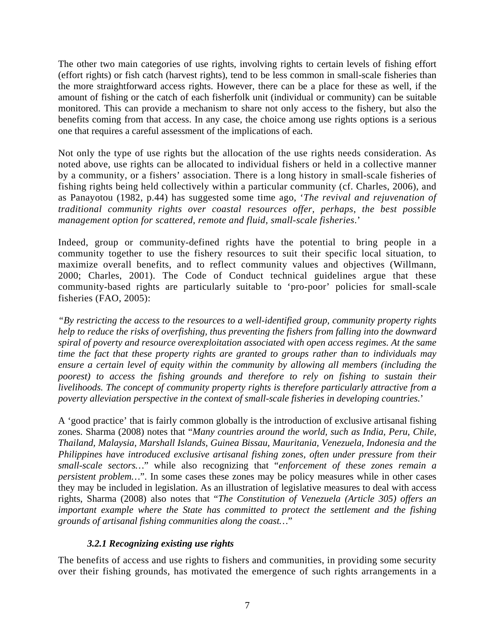The other two main categories of use rights, involving rights to certain levels of fishing effort (effort rights) or fish catch (harvest rights), tend to be less common in small-scale fisheries than the more straightforward access rights. However, there can be a place for these as well, if the amount of fishing or the catch of each fisherfolk unit (individual or community) can be suitable monitored. This can provide a mechanism to share not only access to the fishery, but also the benefits coming from that access. In any case, the choice among use rights options is a serious one that requires a careful assessment of the implications of each.

Not only the type of use rights but the allocation of the use rights needs consideration. As noted above, use rights can be allocated to individual fishers or held in a collective manner by a community, or a fishers' association. There is a long history in small-scale fisheries of fishing rights being held collectively within a particular community (cf. Charles, 2006), and as Panayotou (1982, p.44) has suggested some time ago, '*The revival and rejuvenation of traditional community rights over coastal resources offer, perhaps, the best possible management option for scattered, remote and fluid, small-scale fisheries*.'

Indeed, group or community-defined rights have the potential to bring people in a community together to use the fishery resources to suit their specific local situation, to maximize overall benefits, and to reflect community values and objectives (Willmann, 2000; Charles, 2001). The Code of Conduct technical guidelines argue that these community-based rights are particularly suitable to 'pro-poor' policies for small-scale fisheries (FAO, 2005):

*"By restricting the access to the resources to a well-identified group, community property rights help to reduce the risks of overfishing, thus preventing the fishers from falling into the downward spiral of poverty and resource overexploitation associated with open access regimes. At the same time the fact that these property rights are granted to groups rather than to individuals may ensure a certain level of equity within the community by allowing all members (including the poorest) to access the fishing grounds and therefore to rely on fishing to sustain their livelihoods. The concept of community property rights is therefore particularly attractive from a poverty alleviation perspective in the context of small-scale fisheries in developing countries.*'

A 'good practice' that is fairly common globally is the introduction of exclusive artisanal fishing zones. Sharma (2008) notes that "*Many countries around the world, such as India, Peru, Chile, Thailand, Malaysia, Marshall Islands, Guinea Bissau, Mauritania, Venezuela, Indonesia and the Philippines have introduced exclusive artisanal fishing zones, often under pressure from their small-scale sectors…*" while also recognizing that "*enforcement of these zones remain a persistent problem…*". In some cases these zones may be policy measures while in other cases they may be included in legislation. As an illustration of legislative measures to deal with access rights, Sharma (2008) also notes that "*The Constitution of Venezuela (Article 305) offers an important example where the State has committed to protect the settlement and the fishing grounds of artisanal fishing communities along the coast…*"

# *3.2.1 Recognizing existing use rights*

The benefits of access and use rights to fishers and communities, in providing some security over their fishing grounds, has motivated the emergence of such rights arrangements in a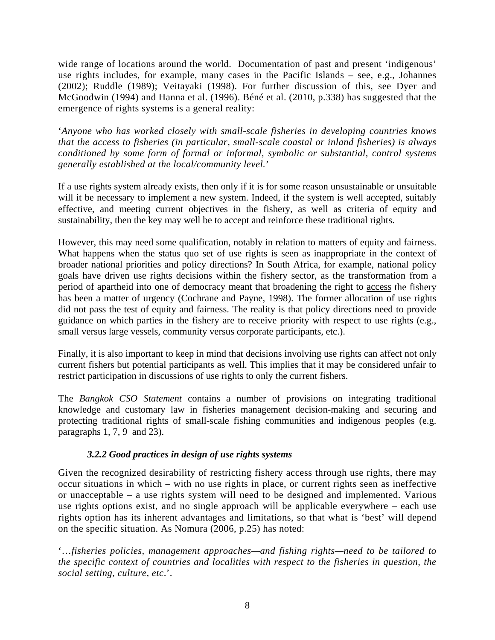wide range of locations around the world. Documentation of past and present 'indigenous' use rights includes, for example, many cases in the Pacific Islands – see, e.g., Johannes (2002); Ruddle (1989); Veitayaki (1998). For further discussion of this, see Dyer and McGoodwin (1994) and Hanna et al. (1996). Béné et al. (2010, p.338) has suggested that the emergence of rights systems is a general reality:

'*Anyone who has worked closely with small-scale fisheries in developing countries knows that the access to fisheries (in particular, small-scale coastal or inland fisheries) is always conditioned by some form of formal or informal, symbolic or substantial, control systems generally established at the local/community level.*'

If a use rights system already exists, then only if it is for some reason unsustainable or unsuitable will it be necessary to implement a new system. Indeed, if the system is well accepted, suitably effective, and meeting current objectives in the fishery, as well as criteria of equity and sustainability, then the key may well be to accept and reinforce these traditional rights.

However, this may need some qualification, notably in relation to matters of equity and fairness. What happens when the status quo set of use rights is seen as inappropriate in the context of broader national priorities and policy directions? In South Africa, for example, national policy goals have driven use rights decisions within the fishery sector, as the transformation from a period of apartheid into one of democracy meant that broadening the right to access the fishery has been a matter of urgency (Cochrane and Payne, 1998). The former allocation of use rights did not pass the test of equity and fairness. The reality is that policy directions need to provide guidance on which parties in the fishery are to receive priority with respect to use rights (e.g., small versus large vessels, community versus corporate participants, etc.).

Finally, it is also important to keep in mind that decisions involving use rights can affect not only current fishers but potential participants as well. This implies that it may be considered unfair to restrict participation in discussions of use rights to only the current fishers.

The *Bangkok CSO Statement* contains a number of provisions on integrating traditional knowledge and customary law in fisheries management decision-making and securing and protecting traditional rights of small-scale fishing communities and indigenous peoples (e.g. paragraphs 1, 7, 9 and 23).

# *3.2.2 Good practices in design of use rights systems*

Given the recognized desirability of restricting fishery access through use rights, there may occur situations in which – with no use rights in place, or current rights seen as ineffective or unacceptable – a use rights system will need to be designed and implemented. Various use rights options exist, and no single approach will be applicable everywhere – each use rights option has its inherent advantages and limitations, so that what is 'best' will depend on the specific situation. As Nomura (2006, p.25) has noted:

'…*fisheries policies, management approaches—and fishing rights—need to be tailored to the specific context of countries and localities with respect to the fisheries in question, the social setting, culture, etc*.'.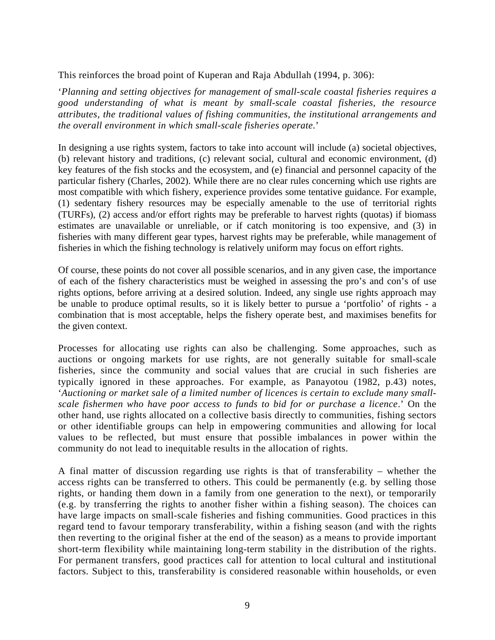This reinforces the broad point of Kuperan and Raja Abdullah (1994, p. 306):

'*Planning and setting objectives for management of small-scale coastal fisheries requires a good understanding of what is meant by small-scale coastal fisheries, the resource attributes, the traditional values of fishing communities, the institutional arrangements and the overall environment in which small-scale fisheries operate.*'

In designing a use rights system, factors to take into account will include (a) societal objectives, (b) relevant history and traditions, (c) relevant social, cultural and economic environment, (d) key features of the fish stocks and the ecosystem, and (e) financial and personnel capacity of the particular fishery (Charles, 2002). While there are no clear rules concerning which use rights are most compatible with which fishery, experience provides some tentative guidance. For example, (1) sedentary fishery resources may be especially amenable to the use of territorial rights (TURFs), (2) access and/or effort rights may be preferable to harvest rights (quotas) if biomass estimates are unavailable or unreliable, or if catch monitoring is too expensive, and (3) in fisheries with many different gear types, harvest rights may be preferable, while management of fisheries in which the fishing technology is relatively uniform may focus on effort rights.

Of course, these points do not cover all possible scenarios, and in any given case, the importance of each of the fishery characteristics must be weighed in assessing the pro's and con's of use rights options, before arriving at a desired solution. Indeed, any single use rights approach may be unable to produce optimal results, so it is likely better to pursue a 'portfolio' of rights - a combination that is most acceptable, helps the fishery operate best, and maximises benefits for the given context.

Processes for allocating use rights can also be challenging. Some approaches, such as auctions or ongoing markets for use rights, are not generally suitable for small-scale fisheries, since the community and social values that are crucial in such fisheries are typically ignored in these approaches. For example, as Panayotou (1982, p.43) notes, '*Auctioning or market sale of a limited number of licences is certain to exclude many smallscale fishermen who have poor access to funds to bid for or purchase a licence*.' On the other hand, use rights allocated on a collective basis directly to communities, fishing sectors or other identifiable groups can help in empowering communities and allowing for local values to be reflected, but must ensure that possible imbalances in power within the community do not lead to inequitable results in the allocation of rights.

A final matter of discussion regarding use rights is that of transferability – whether the access rights can be transferred to others. This could be permanently (e.g. by selling those rights, or handing them down in a family from one generation to the next), or temporarily (e.g. by transferring the rights to another fisher within a fishing season). The choices can have large impacts on small-scale fisheries and fishing communities. Good practices in this regard tend to favour temporary transferability, within a fishing season (and with the rights then reverting to the original fisher at the end of the season) as a means to provide important short-term flexibility while maintaining long-term stability in the distribution of the rights. For permanent transfers, good practices call for attention to local cultural and institutional factors. Subject to this, transferability is considered reasonable within households, or even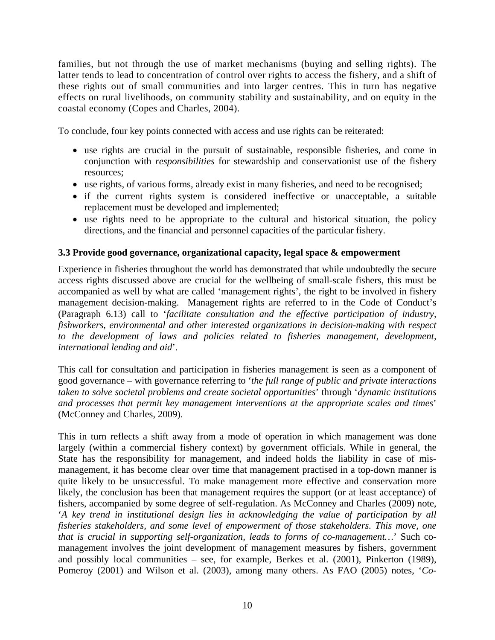families, but not through the use of market mechanisms (buying and selling rights). The latter tends to lead to concentration of control over rights to access the fishery, and a shift of these rights out of small communities and into larger centres. This in turn has negative effects on rural livelihoods, on community stability and sustainability, and on equity in the coastal economy (Copes and Charles, 2004).

To conclude, four key points connected with access and use rights can be reiterated:

- use rights are crucial in the pursuit of sustainable, responsible fisheries, and come in conjunction with *responsibilities* for stewardship and conservationist use of the fishery resources;
- use rights, of various forms, already exist in many fisheries, and need to be recognised;
- if the current rights system is considered ineffective or unacceptable, a suitable replacement must be developed and implemented;
- use rights need to be appropriate to the cultural and historical situation, the policy directions, and the financial and personnel capacities of the particular fishery.

# **3.3 Provide good governance, organizational capacity, legal space & empowerment**

Experience in fisheries throughout the world has demonstrated that while undoubtedly the secure access rights discussed above are crucial for the wellbeing of small-scale fishers, this must be accompanied as well by what are called 'management rights', the right to be involved in fishery management decision-making. Management rights are referred to in the Code of Conduct's (Paragraph 6.13) call to '*facilitate consultation and the effective participation of industry, fishworkers, environmental and other interested organizations in decision-making with respect*  to the development of laws and policies related to fisheries management, development, *international lending and aid*'.

This call for consultation and participation in fisheries management is seen as a component of good governance – with governance referring to '*the full range of public and private interactions taken to solve societal problems and create societal opportunities*' through '*dynamic institutions and processes that permit key management interventions at the appropriate scales and times*' (McConney and Charles, 2009).

This in turn reflects a shift away from a mode of operation in which management was done largely (within a commercial fishery context) by government officials. While in general, the State has the responsibility for management, and indeed holds the liability in case of mismanagement, it has become clear over time that management practised in a top-down manner is quite likely to be unsuccessful. To make management more effective and conservation more likely, the conclusion has been that management requires the support (or at least acceptance) of fishers, accompanied by some degree of self-regulation. As McConney and Charles (2009) note, '*A key trend in institutional design lies in acknowledging the value of participation by all fisheries stakeholders, and some level of empowerment of those stakeholders. This move, one that is crucial in supporting self-organization, leads to forms of co-management…*' Such comanagement involves the joint development of management measures by fishers, government and possibly local communities – see, for example, Berkes et al. (2001), Pinkerton (1989), Pomeroy (2001) and Wilson et al. (2003), among many others. As FAO (2005) notes, '*Co-*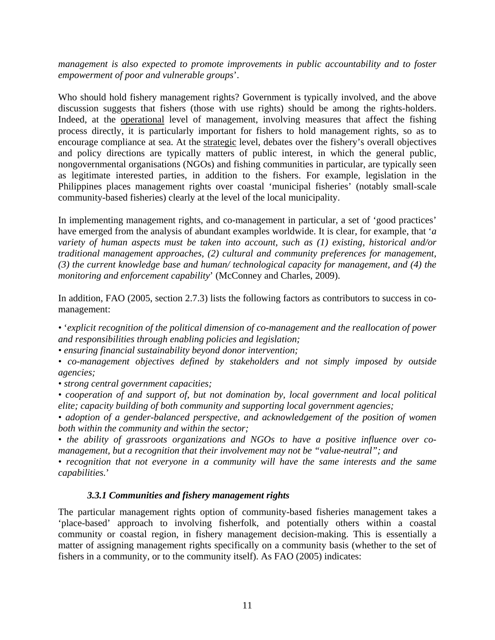*management is also expected to promote improvements in public accountability and to foster empowerment of poor and vulnerable groups*'.

Who should hold fishery management rights? Government is typically involved, and the above discussion suggests that fishers (those with use rights) should be among the rights-holders. Indeed, at the operational level of management, involving measures that affect the fishing process directly, it is particularly important for fishers to hold management rights, so as to encourage compliance at sea. At the strategic level, debates over the fishery's overall objectives and policy directions are typically matters of public interest, in which the general public, nongovernmental organisations (NGOs) and fishing communities in particular, are typically seen as legitimate interested parties, in addition to the fishers. For example, legislation in the Philippines places management rights over coastal 'municipal fisheries' (notably small-scale community-based fisheries) clearly at the level of the local municipality.

In implementing management rights, and co-management in particular, a set of 'good practices' have emerged from the analysis of abundant examples worldwide. It is clear, for example, that '*a variety of human aspects must be taken into account, such as (1) existing, historical and/or traditional management approaches, (2) cultural and community preferences for management, (3) the current knowledge base and human/ technological capacity for management, and (4) the monitoring and enforcement capability*' (McConney and Charles, 2009).

In addition, FAO (2005, section 2.7.3) lists the following factors as contributors to success in comanagement:

*•* '*explicit recognition of the political dimension of co-management and the reallocation of power and responsibilities through enabling policies and legislation;* 

*• ensuring financial sustainability beyond donor intervention;* 

*• co-management objectives defined by stakeholders and not simply imposed by outside agencies;* 

*• strong central government capacities;* 

*• cooperation of and support of, but not domination by, local government and local political elite; capacity building of both community and supporting local government agencies;* 

*• adoption of a gender-balanced perspective, and acknowledgement of the position of women both within the community and within the sector;* 

*• the ability of grassroots organizations and NGOs to have a positive influence over comanagement, but a recognition that their involvement may not be "value-neutral"; and* 

*• recognition that not everyone in a community will have the same interests and the same capabilities.*'

#### *3.3.1 Communities and fishery management rights*

The particular management rights option of community-based fisheries management takes a 'place-based' approach to involving fisherfolk, and potentially others within a coastal community or coastal region, in fishery management decision-making. This is essentially a matter of assigning management rights specifically on a community basis (whether to the set of fishers in a community, or to the community itself). As FAO (2005) indicates: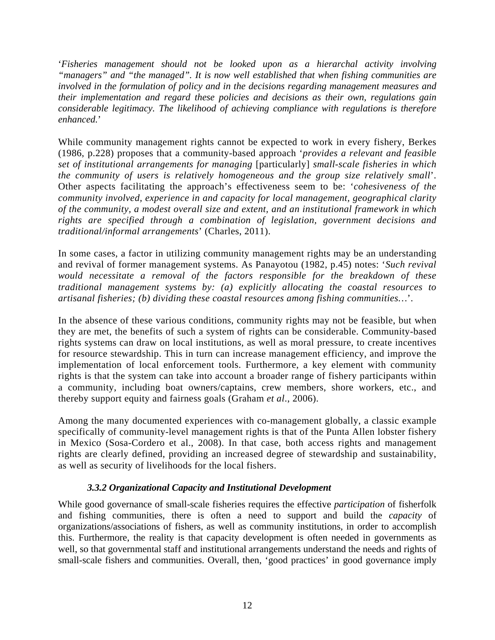'*Fisheries management should not be looked upon as a hierarchal activity involving "managers" and "the managed". It is now well established that when fishing communities are involved in the formulation of policy and in the decisions regarding management measures and their implementation and regard these policies and decisions as their own, regulations gain considerable legitimacy. The likelihood of achieving compliance with regulations is therefore enhanced.*'

While community management rights cannot be expected to work in every fishery, Berkes (1986, p.228) proposes that a community-based approach '*provides a relevant and feasible set of institutional arrangements for managing* [particularly] *small-scale fisheries in which the community of users is relatively homogeneous and the group size relatively small*'. Other aspects facilitating the approach's effectiveness seem to be: '*cohesiveness of the community involved, experience in and capacity for local management, geographical clarity of the community, a modest overall size and extent, and an institutional framework in which rights are specified through a combination of legislation, government decisions and traditional/informal arrangements*' (Charles, 2011).

In some cases, a factor in utilizing community management rights may be an understanding and revival of former management systems. As Panayotou (1982, p.45) notes: '*Such revival would necessitate a removal of the factors responsible for the breakdown of these traditional management systems by: (a) explicitly allocating the coastal resources to artisanal fisheries; (b) dividing these coastal resources among fishing communities…*'.

In the absence of these various conditions, community rights may not be feasible, but when they are met, the benefits of such a system of rights can be considerable. Community-based rights systems can draw on local institutions, as well as moral pressure, to create incentives for resource stewardship. This in turn can increase management efficiency, and improve the implementation of local enforcement tools. Furthermore, a key element with community rights is that the system can take into account a broader range of fishery participants within a community, including boat owners/captains, crew members, shore workers, etc., and thereby support equity and fairness goals (Graham *et al*., 2006).

Among the many documented experiences with co-management globally, a classic example specifically of community-level management rights is that of the Punta Allen lobster fishery in Mexico (Sosa-Cordero et al., 2008). In that case, both access rights and management rights are clearly defined, providing an increased degree of stewardship and sustainability, as well as security of livelihoods for the local fishers.

# *3.3.2 Organizational Capacity and Institutional Development*

While good governance of small-scale fisheries requires the effective *participation* of fisherfolk and fishing communities, there is often a need to support and build the *capacity* of organizations/associations of fishers, as well as community institutions, in order to accomplish this. Furthermore, the reality is that capacity development is often needed in governments as well, so that governmental staff and institutional arrangements understand the needs and rights of small-scale fishers and communities. Overall, then, 'good practices' in good governance imply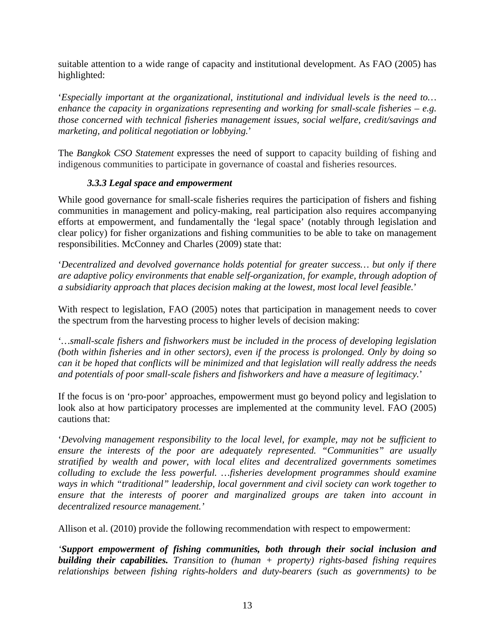suitable attention to a wide range of capacity and institutional development. As FAO (2005) has highlighted:

'*Especially important at the organizational, institutional and individual levels is the need to… enhance the capacity in organizations representing and working for small-scale fisheries – e.g. those concerned with technical fisheries management issues, social welfare, credit/savings and marketing, and political negotiation or lobbying.*'

The *Bangkok CSO Statement* expresses the need of support to capacity building of fishing and indigenous communities to participate in governance of coastal and fisheries resources.

# *3.3.3 Legal space and empowerment*

While good governance for small-scale fisheries requires the participation of fishers and fishing communities in management and policy-making, real participation also requires accompanying efforts at empowerment, and fundamentally the 'legal space' (notably through legislation and clear policy) for fisher organizations and fishing communities to be able to take on management responsibilities. McConney and Charles (2009) state that:

'*Decentralized and devolved governance holds potential for greater success… but only if there are adaptive policy environments that enable self-organization, for example, through adoption of a subsidiarity approach that places decision making at the lowest, most local level feasible.*'

With respect to legislation, FAO (2005) notes that participation in management needs to cover the spectrum from the harvesting process to higher levels of decision making:

'*…small-scale fishers and fishworkers must be included in the process of developing legislation (both within fisheries and in other sectors), even if the process is prolonged. Only by doing so can it be hoped that conflicts will be minimized and that legislation will really address the needs and potentials of poor small-scale fishers and fishworkers and have a measure of legitimacy.*'

If the focus is on 'pro-poor' approaches, empowerment must go beyond policy and legislation to look also at how participatory processes are implemented at the community level. FAO (2005) cautions that:

'*Devolving management responsibility to the local level, for example, may not be sufficient to ensure the interests of the poor are adequately represented. "Communities" are usually stratified by wealth and power, with local elites and decentralized governments sometimes colluding to exclude the less powerful. …fisheries development programmes should examine ways in which "traditional" leadership, local government and civil society can work together to ensure that the interests of poorer and marginalized groups are taken into account in decentralized resource management.'* 

Allison et al. (2010) provide the following recommendation with respect to empowerment:

*'Support empowerment of fishing communities, both through their social inclusion and building their capabilities. Transition to (human + property) rights-based fishing requires relationships between fishing rights-holders and duty-bearers (such as governments) to be*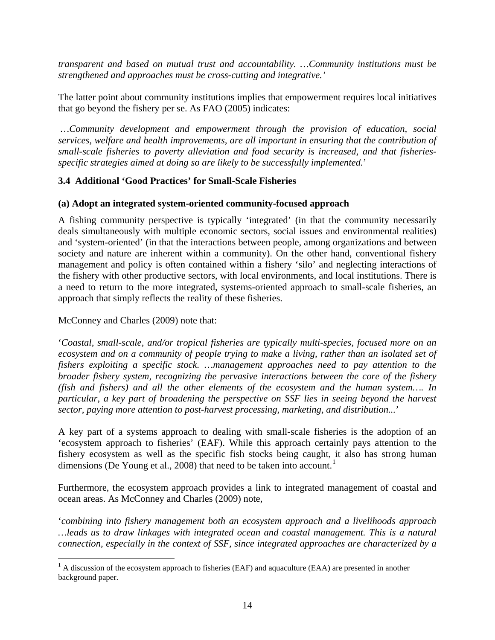*transparent and based on mutual trust and accountability. …Community institutions must be strengthened and approaches must be cross-cutting and integrative.'* 

The latter point about community institutions implies that empowerment requires local initiatives that go beyond the fishery per se. As FAO (2005) indicates:

 *…Community development and empowerment through the provision of education, social services, welfare and health improvements, are all important in ensuring that the contribution of small-scale fisheries to poverty alleviation and food security is increased, and that fisheriesspecific strategies aimed at doing so are likely to be successfully implemented.*'

# **3.4 Additional 'Good Practices' for Small-Scale Fisheries**

#### **(a) Adopt an integrated system-oriented community-focused approach**

A fishing community perspective is typically 'integrated' (in that the community necessarily deals simultaneously with multiple economic sectors, social issues and environmental realities) and 'system-oriented' (in that the interactions between people, among organizations and between society and nature are inherent within a community). On the other hand, conventional fishery management and policy is often contained within a fishery 'silo' and neglecting interactions of the fishery with other productive sectors, with local environments, and local institutions. There is a need to return to the more integrated, systems-oriented approach to small-scale fisheries, an approach that simply reflects the reality of these fisheries.

McConney and Charles (2009) note that:

'*Coastal, small-scale, and/or tropical fisheries are typically multi-species, focused more on an ecosystem and on a community of people trying to make a living, rather than an isolated set of fishers exploiting a specific stock. …management approaches need to pay attention to the broader fishery system, recognizing the pervasive interactions between the core of the fishery (fish and fishers) and all the other elements of the ecosystem and the human system…. In particular, a key part of broadening the perspective on SSF lies in seeing beyond the harvest sector, paying more attention to post-harvest processing, marketing, and distribution...*'

A key part of a systems approach to dealing with small-scale fisheries is the adoption of an 'ecosystem approach to fisheries' (EAF). While this approach certainly pays attention to the fishery ecosystem as well as the specific fish stocks being caught, it also has strong human dimensions (De Young et al., 2008) that need to be taken into account.<sup>[1](#page-14-0)</sup>

Furthermore, the ecosystem approach provides a link to integrated management of coastal and ocean areas. As McConney and Charles (2009) note,

'*combining into fishery management both an ecosystem approach and a livelihoods approach …leads us to draw linkages with integrated ocean and coastal management. This is a natural connection, especially in the context of SSF, since integrated approaches are characterized by a* 

<span id="page-14-0"></span><sup>&</sup>lt;sup>1</sup> A discussion of the ecosystem approach to fisheries (EAF) and aquaculture (EAA) are presented in another background paper.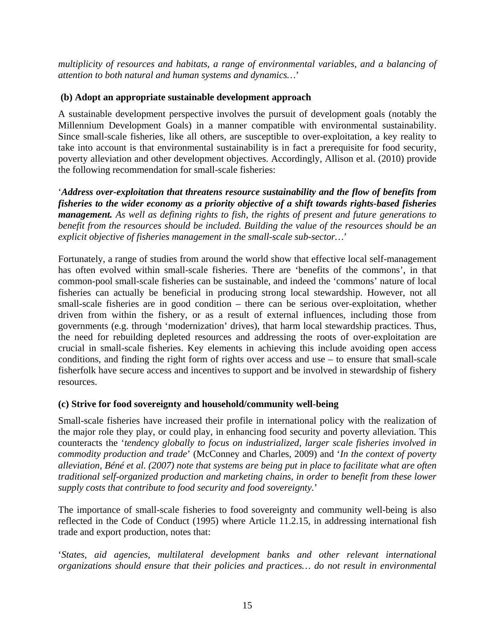*multiplicity of resources and habitats, a range of environmental variables, and a balancing of attention to both natural and human systems and dynamics…*'

### **(b) Adopt an appropriate sustainable development approach**

A sustainable development perspective involves the pursuit of development goals (notably the Millennium Development Goals) in a manner compatible with environmental sustainability. Since small-scale fisheries, like all others, are susceptible to over-exploitation, a key reality to take into account is that environmental sustainability is in fact a prerequisite for food security, poverty alleviation and other development objectives. Accordingly, Allison et al. (2010) provide the following recommendation for small-scale fisheries:

'*Address over-exploitation that threatens resource sustainability and the flow of benefits from fisheries to the wider economy as a priority objective of a shift towards rights-based fisheries management. As well as defining rights to fish, the rights of present and future generations to benefit from the resources should be included. Building the value of the resources should be an explicit objective of fisheries management in the small-scale sub-sector…*'

Fortunately, a range of studies from around the world show that effective local self-management has often evolved within small-scale fisheries. There are 'benefits of the commons', in that common-pool small-scale fisheries can be sustainable, and indeed the 'commons' nature of local fisheries can actually be beneficial in producing strong local stewardship. However, not all small-scale fisheries are in good condition – there can be serious over-exploitation, whether driven from within the fishery, or as a result of external influences, including those from governments (e.g. through 'modernization' drives), that harm local stewardship practices. Thus, the need for rebuilding depleted resources and addressing the roots of over-exploitation are crucial in small-scale fisheries. Key elements in achieving this include avoiding open access conditions, and finding the right form of rights over access and use – to ensure that small-scale fisherfolk have secure access and incentives to support and be involved in stewardship of fishery resources.

# **(c) Strive for food sovereignty and household/community well-being**

Small-scale fisheries have increased their profile in international policy with the realization of the major role they play, or could play, in enhancing food security and poverty alleviation. This counteracts the '*tendency globally to focus on industrialized, larger scale fisheries involved in commodity production and trade*' (McConney and Charles, 2009) and '*In the context of poverty alleviation, Béné et al. (2007) note that systems are being put in place to facilitate what are often traditional self-organized production and marketing chains, in order to benefit from these lower supply costs that contribute to food security and food sovereignty.*'

The importance of small-scale fisheries to food sovereignty and community well-being is also reflected in the Code of Conduct (1995) where Article 11.2.15, in addressing international fish trade and export production, notes that:

'*States, aid agencies, multilateral development banks and other relevant international organizations should ensure that their policies and practices… do not result in environmental*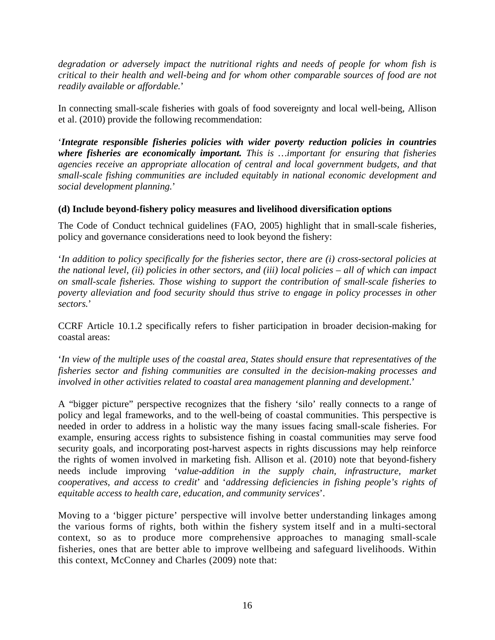*degradation or adversely impact the nutritional rights and needs of people for whom fish is critical to their health and well-being and for whom other comparable sources of food are not readily available or affordable.*'

In connecting small-scale fisheries with goals of food sovereignty and local well-being, Allison et al. (2010) provide the following recommendation:

'*Integrate responsible fisheries policies with wider poverty reduction policies in countries where fisheries are economically important. This is …important for ensuring that fisheries agencies receive an appropriate allocation of central and local government budgets, and that small-scale fishing communities are included equitably in national economic development and social development planning.*'

# **(d) Include beyond-fishery policy measures and livelihood diversification options**

The Code of Conduct technical guidelines (FAO, 2005) highlight that in small-scale fisheries, policy and governance considerations need to look beyond the fishery:

'*In addition to policy specifically for the fisheries sector, there are (i) cross-sectoral policies at the national level, (ii) policies in other sectors, and (iii) local policies – all of which can impact on small-scale fisheries. Those wishing to support the contribution of small-scale fisheries to poverty alleviation and food security should thus strive to engage in policy processes in other sectors.*'

CCRF Article 10.1.2 specifically refers to fisher participation in broader decision-making for coastal areas:

'*In view of the multiple uses of the coastal area, States should ensure that representatives of the fisheries sector and fishing communities are consulted in the decision-making processes and involved in other activities related to coastal area management planning and development*.'

A "bigger picture" perspective recognizes that the fishery 'silo' really connects to a range of policy and legal frameworks, and to the well-being of coastal communities. This perspective is needed in order to address in a holistic way the many issues facing small-scale fisheries. For example, ensuring access rights to subsistence fishing in coastal communities may serve food security goals, and incorporating post-harvest aspects in rights discussions may help reinforce the rights of women involved in marketing fish. Allison et al. (2010) note that beyond-fishery needs include improving '*value-addition in the supply chain, infrastructure, market cooperatives, and access to credit*' and '*addressing deficiencies in fishing people's rights of equitable access to health care, education, and community services*'.

Moving to a 'bigger picture' perspective will involve better understanding linkages among the various forms of rights, both within the fishery system itself and in a multi-sectoral context, so as to produce more comprehensive approaches to managing small-scale fisheries, ones that are better able to improve wellbeing and safeguard livelihoods. Within this context, McConney and Charles (2009) note that: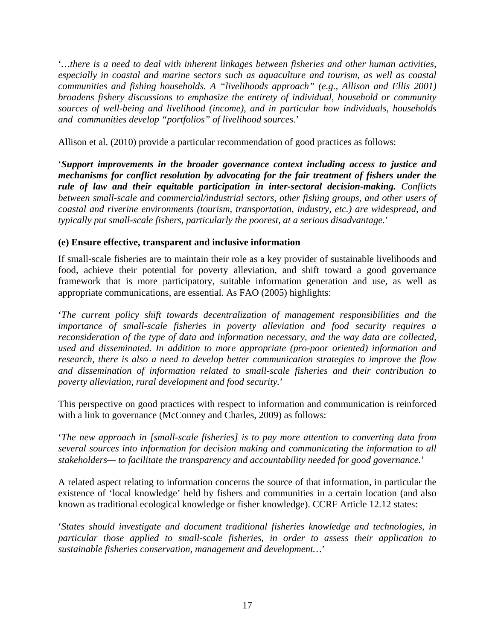'*…there is a need to deal with inherent linkages between fisheries and other human activities, especially in coastal and marine sectors such as aquaculture and tourism, as well as coastal communities and fishing households. A "livelihoods approach" (e.g., Allison and Ellis 2001) broadens fishery discussions to emphasize the entirety of individual, household or community sources of well-being and livelihood (income), and in particular how individuals, households and communities develop "portfolios" of livelihood sources.*'

Allison et al. (2010) provide a particular recommendation of good practices as follows:

'*Support improvements in the broader governance context including access to justice and mechanisms for conflict resolution by advocating for the fair treatment of fishers under the rule of law and their equitable participation in inter-sectoral decision-making. Conflicts between small-scale and commercial/industrial sectors, other fishing groups, and other users of coastal and riverine environments (tourism, transportation, industry, etc.) are widespread, and typically put small-scale fishers, particularly the poorest, at a serious disadvantage.*'

#### **(e) Ensure effective, transparent and inclusive information**

If small-scale fisheries are to maintain their role as a key provider of sustainable livelihoods and food, achieve their potential for poverty alleviation, and shift toward a good governance framework that is more participatory, suitable information generation and use, as well as appropriate communications, are essential. As FAO (2005) highlights:

'*The current policy shift towards decentralization of management responsibilities and the importance of small-scale fisheries in poverty alleviation and food security requires a reconsideration of the type of data and information necessary, and the way data are collected, used and disseminated. In addition to more appropriate (pro-poor oriented) information and research, there is also a need to develop better communication strategies to improve the flow and dissemination of information related to small-scale fisheries and their contribution to poverty alleviation, rural development and food security.*'

This perspective on good practices with respect to information and communication is reinforced with a link to governance (McConney and Charles, 2009) as follows:

'*The new approach in [small-scale fisheries] is to pay more attention to converting data from several sources into information for decision making and communicating the information to all stakeholders— to facilitate the transparency and accountability needed for good governance.*'

A related aspect relating to information concerns the source of that information, in particular the existence of 'local knowledge' held by fishers and communities in a certain location (and also known as traditional ecological knowledge or fisher knowledge). CCRF Article 12.12 states:

'*States should investigate and document traditional fisheries knowledge and technologies, in particular those applied to small-scale fisheries, in order to assess their application to sustainable fisheries conservation, management and development…*'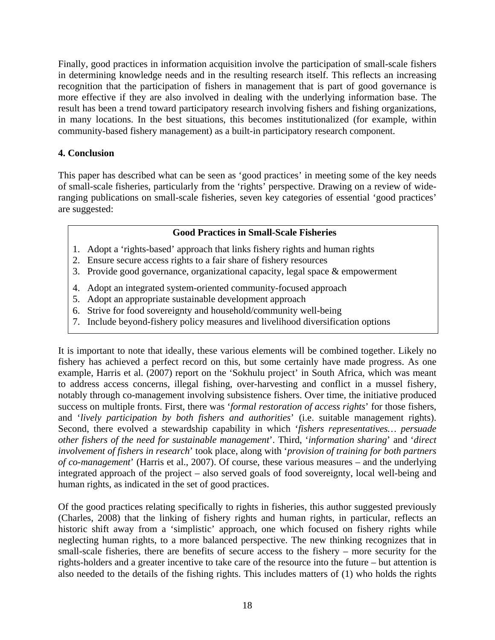Finally, good practices in information acquisition involve the participation of small-scale fishers in determining knowledge needs and in the resulting research itself. This reflects an increasing recognition that the participation of fishers in management that is part of good governance is more effective if they are also involved in dealing with the underlying information base. The result has been a trend toward participatory research involving fishers and fishing organizations, in many locations. In the best situations, this becomes institutionalized (for example, within community-based fishery management) as a built-in participatory research component.

# **4. Conclusion**

This paper has described what can be seen as 'good practices' in meeting some of the key needs of small-scale fisheries, particularly from the 'rights' perspective. Drawing on a review of wideranging publications on small-scale fisheries, seven key categories of essential 'good practices' are suggested:

# **Good Practices in Small-Scale Fisheries**

- 1. Adopt a 'rights-based' approach that links fishery rights and human rights
- 2. Ensure secure access rights to a fair share of fishery resources
- 3. Provide good governance, organizational capacity, legal space & empowerment
- 4. Adopt an integrated system-oriented community-focused approach
- 5. Adopt an appropriate sustainable development approach
- 6. Strive for food sovereignty and household/community well-being
- 7. Include beyond-fishery policy measures and livelihood diversification options

It is important to note that ideally, these various elements will be combined together. Likely no fishery has achieved a perfect record on this, but some certainly have made progress. As one example, Harris et al. (2007) report on the 'Sokhulu project' in South Africa, which was meant to address access concerns, illegal fishing, over-harvesting and conflict in a mussel fishery, notably through co-management involving subsistence fishers. Over time, the initiative produced success on multiple fronts. First, there was '*formal restoration of access rights*' for those fishers, and '*lively participation by both fishers and authorities*' (i.e. suitable management rights). Second, there evolved a stewardship capability in which '*fishers representatives… persuade other fishers of the need for sustainable management*'. Third, '*information sharing*' and '*direct involvement of fishers in research*' took place, along with '*provision of training for both partners of co-management*' (Harris et al., 2007). Of course, these various measures – and the underlying integrated approach of the project – also served goals of food sovereignty, local well-being and human rights, as indicated in the set of good practices.

Of the good practices relating specifically to rights in fisheries, this author suggested previously (Charles, 2008) that the linking of fishery rights and human rights, in particular, reflects an historic shift away from a 'simplistic' approach, one which focused on fishery rights while neglecting human rights, to a more balanced perspective. The new thinking recognizes that in small-scale fisheries, there are benefits of secure access to the fishery – more security for the rights-holders and a greater incentive to take care of the resource into the future – but attention is also needed to the details of the fishing rights. This includes matters of (1) who holds the rights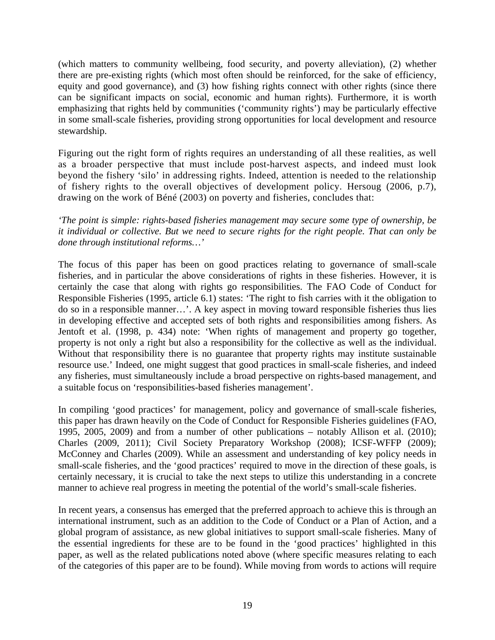(which matters to community wellbeing, food security, and poverty alleviation), (2) whether there are pre-existing rights (which most often should be reinforced, for the sake of efficiency, equity and good governance), and (3) how fishing rights connect with other rights (since there can be significant impacts on social, economic and human rights). Furthermore, it is worth emphasizing that rights held by communities ('community rights') may be particularly effective in some small-scale fisheries, providing strong opportunities for local development and resource stewardship.

Figuring out the right form of rights requires an understanding of all these realities, as well as a broader perspective that must include post-harvest aspects, and indeed must look beyond the fishery 'silo' in addressing rights. Indeed, attention is needed to the relationship of fishery rights to the overall objectives of development policy. Hersoug (2006, p.7), drawing on the work of Béné (2003) on poverty and fisheries, concludes that:

*'The point is simple: rights-based fisheries management may secure some type of ownership, be it individual or collective. But we need to secure rights for the right people. That can only be done through institutional reforms…'* 

The focus of this paper has been on good practices relating to governance of small-scale fisheries, and in particular the above considerations of rights in these fisheries. However, it is certainly the case that along with rights go responsibilities. The FAO Code of Conduct for Responsible Fisheries (1995, article 6.1) states: 'The right to fish carries with it the obligation to do so in a responsible manner…'. A key aspect in moving toward responsible fisheries thus lies in developing effective and accepted sets of both rights and responsibilities among fishers. As Jentoft et al. (1998, p. 434) note: 'When rights of management and property go together, property is not only a right but also a responsibility for the collective as well as the individual. Without that responsibility there is no guarantee that property rights may institute sustainable resource use.' Indeed, one might suggest that good practices in small-scale fisheries, and indeed any fisheries, must simultaneously include a broad perspective on rights-based management, and a suitable focus on 'responsibilities-based fisheries management'.

In compiling 'good practices' for management, policy and governance of small-scale fisheries, this paper has drawn heavily on the Code of Conduct for Responsible Fisheries guidelines (FAO, 1995, 2005, 2009) and from a number of other publications – notably Allison et al. (2010); Charles (2009, 2011); Civil Society Preparatory Workshop (2008); ICSF-WFFP (2009); McConney and Charles (2009). While an assessment and understanding of key policy needs in small-scale fisheries, and the 'good practices' required to move in the direction of these goals, is certainly necessary, it is crucial to take the next steps to utilize this understanding in a concrete manner to achieve real progress in meeting the potential of the world's small-scale fisheries.

In recent years, a consensus has emerged that the preferred approach to achieve this is through an international instrument, such as an addition to the Code of Conduct or a Plan of Action, and a global program of assistance, as new global initiatives to support small-scale fisheries. Many of the essential ingredients for these are to be found in the 'good practices' highlighted in this paper, as well as the related publications noted above (where specific measures relating to each of the categories of this paper are to be found). While moving from words to actions will require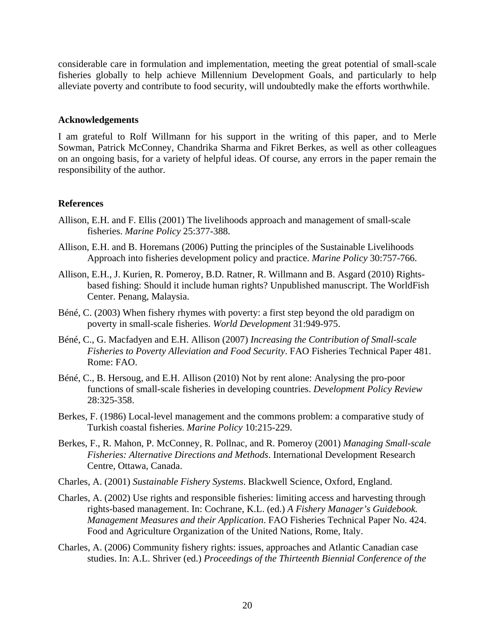considerable care in formulation and implementation, meeting the great potential of small-scale fisheries globally to help achieve Millennium Development Goals, and particularly to help alleviate poverty and contribute to food security, will undoubtedly make the efforts worthwhile.

#### **Acknowledgements**

I am grateful to Rolf Willmann for his support in the writing of this paper, and to Merle Sowman, Patrick McConney, Chandrika Sharma and Fikret Berkes, as well as other colleagues on an ongoing basis, for a variety of helpful ideas. Of course, any errors in the paper remain the responsibility of the author.

#### **References**

- Allison, E.H. and F. Ellis (2001) The livelihoods approach and management of small-scale fisheries. *Marine Policy* 25:377-388.
- Allison, E.H. and B. Horemans (2006) Putting the principles of the Sustainable Livelihoods Approach into fisheries development policy and practice. *Marine Policy* 30:757-766.
- Allison, E.H., J. Kurien, R. Pomeroy, B.D. Ratner, R. Willmann and B. Asgard (2010) Rightsbased fishing: Should it include human rights? Unpublished manuscript. The WorldFish Center. Penang, Malaysia.
- Béné, C. (2003) When fishery rhymes with poverty: a first step beyond the old paradigm on poverty in small-scale fisheries. *World Development* 31:949-975.
- Béné, C., G. Macfadyen and E.H. Allison (2007) *Increasing the Contribution of Small-scale Fisheries to Poverty Alleviation and Food Security*. FAO Fisheries Technical Paper 481. Rome: FAO.
- Béné, C., B. Hersoug, and E.H. Allison (2010) Not by rent alone: Analysing the pro-poor functions of small-scale fisheries in developing countries. *Development Policy Review* 28:325-358.
- Berkes, F. (1986) Local-level management and the commons problem: a comparative study of Turkish coastal fisheries. *Marine Policy* 10:215-229.
- Berkes, F., R. Mahon, P. McConney, R. Pollnac, and R. Pomeroy (2001) *Managing Small-scale Fisheries: Alternative Directions and Methods*. International Development Research Centre, Ottawa, Canada.
- Charles, A. (2001) *Sustainable Fishery Systems*. Blackwell Science, Oxford, England.
- Charles, A. (2002) [Use rights and responsible fisheries: limiting access and harvesting through](http://husky1.stmarys.ca/%7Echarles/PDFS_2005/071.pdf)  [rights-based management](http://husky1.stmarys.ca/%7Echarles/PDFS_2005/071.pdf). In: Cochrane, K.L. (ed.) *A Fishery Manager's Guidebook. Management Measures and their Application*. FAO Fisheries Technical Paper No. 424. Food and Agriculture Organization of the United Nations, Rome, Italy.
- Charles, A. (2006) Community fishery rights: issues, approaches and Atlantic Canadian case studies. In: A.L. Shriver (ed.) *Proceedings of the Thirteenth Biennial Conference of the*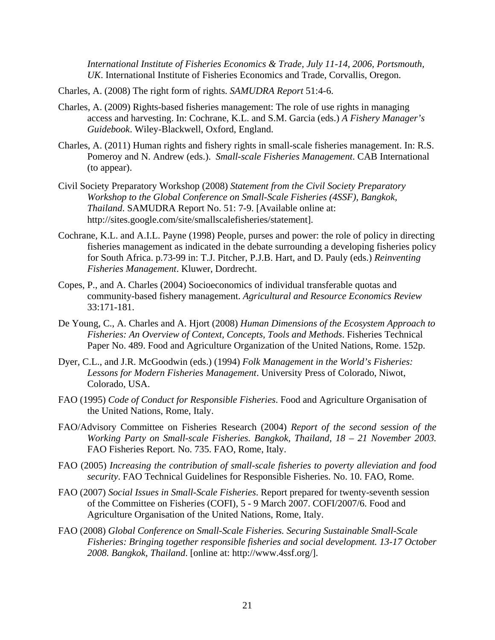*International Institute of Fisheries Economics & Trade, July 11-14, 2006, Portsmouth, UK*. International Institute of Fisheries Economics and Trade, Corvallis, Oregon.

- Charles, A. (2008) [The right form of rights](http://husky1.stmarys.ca/%7Echarles/PDFS_2005/085.pdf). *SAMUDRA Report* 51:4-6.
- Charles, A. (2009) Rights-based fisheries management: The role of use rights in managing access and harvesting. In: Cochrane, K.L. and S.M. Garcia (eds.) *A Fishery Manager's Guidebook*. Wiley-Blackwell, Oxford, England.
- Charles, A. (2011) Human rights and fishery rights in small-scale fisheries management. In: [R.S.](http://www.amazon.com/s/ref=ntt_athr_dp_sr_1?_encoding=UTF8&sort=relevancerank&search-alias=books&field-author=Robert%20S%20Pomeroy)  [Pomeroy](http://www.amazon.com/s/ref=ntt_athr_dp_sr_1?_encoding=UTF8&sort=relevancerank&search-alias=books&field-author=Robert%20S%20Pomeroy) and [N. Andrew](http://www.amazon.com/s/ref=ntt_athr_dp_sr_2?_encoding=UTF8&sort=relevancerank&search-alias=books&field-author=Neil%20Andrew) (eds.). *Small-scale Fisheries Management*. CAB International (to appear).
- Civil Society Preparatory Workshop (2008) *Statement from the Civil Society Preparatory Workshop to the Global Conference on Small-Scale Fisheries (4SSF), Bangkok, Thailand*. SAMUDRA Report No. 51: 7-9. [Available online at: http://sites.google.com/site/smallscalefisheries/statement].
- Cochrane, K.L. and A.I.L. Payne (1998) People, purses and power: the role of policy in directing fisheries management as indicated in the debate surrounding a developing fisheries policy for South Africa. p.73-99 in: T.J. Pitcher, P.J.B. Hart, and D. Pauly (eds.) *Reinventing Fisheries Management*. Kluwer, Dordrecht.
- Copes, P., and A. Charles (2004) Socioeconomics of individual transferable quotas and community-based fishery management. *Agricultural and Resource Economics Review* 33:171-181.
- De Young, C., A. Charles and A. Hjort (2008) *Human Dimensions of the Ecosystem Approach to Fisheries: An Overview of Context, Concepts, Tools and Methods*. Fisheries Technical Paper No. 489. Food and Agriculture Organization of the United Nations, Rome. 152p.
- Dyer, C.L., and J.R. McGoodwin (eds.) (1994) *Folk Management in the World's Fisheries: Lessons for Modern Fisheries Management*. University Press of Colorado, Niwot, Colorado, USA.
- FAO (1995) *Code of Conduct for Responsible Fisheries*. Food and Agriculture Organisation of the United Nations, Rome, Italy.
- FAO/Advisory Committee on Fisheries Research (2004) *Report of the second session of the Working Party on Small-scale Fisheries. Bangkok, Thailand, 18 – 21 November 2003.*  FAO Fisheries Report*.* No. 735. FAO, Rome, Italy.
- FAO (2005) *Increasing the contribution of small-scale fisheries to poverty alleviation and food security*. FAO Technical Guidelines for Responsible Fisheries. No. 10. FAO, Rome.
- FAO (2007) *Social Issues in Small-Scale Fisheries*. Report prepared for twenty-seventh session of the Committee on Fisheries (COFI), 5 - 9 March 2007. COFI/2007/6. Food and Agriculture Organisation of the United Nations, Rome, Italy.
- FAO (2008) *Global Conference on Small-Scale Fisheries. Securing Sustainable Small-Scale Fisheries: Bringing together responsible fisheries and social development. 13-17 October 2008. Bangkok, Thailand*. [online at: http://www.4ssf.org/].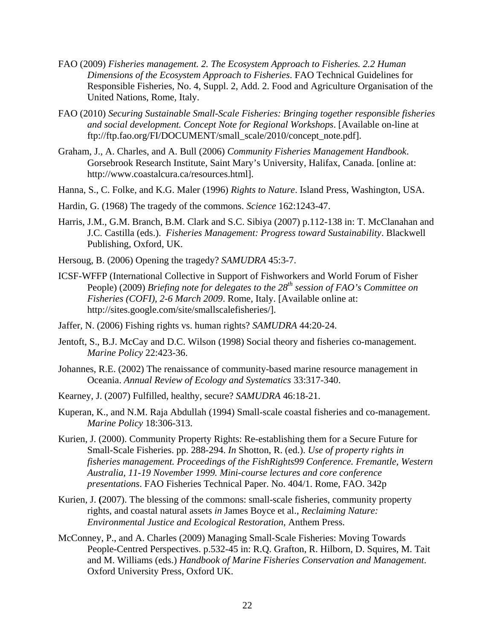- FAO (2009) *Fisheries management. 2. The Ecosystem Approach to Fisheries. 2.2 Human Dimensions of the Ecosystem Approach to Fisheries*. FAO Technical Guidelines for Responsible Fisheries, No. 4, Suppl. 2, Add. 2. Food and Agriculture Organisation of the United Nations, Rome, Italy.
- FAO (2010) *Securing Sustainable Small-Scale Fisheries: Bringing together responsible fisheries and social development. Concept Note for Regional Workshops*. [Available on-line at ftp://ftp.fao.org/FI/DOCUMENT/small\_scale/2010/concept\_note.pdf].
- Graham, J., A. Charles, and A. Bull (2006) *Community Fisheries Management Handbook*. Gorsebrook Research Institute, Saint Mary's University, Halifax, Canada. [online at: http://www.coastalcura.ca/resources.html].
- Hanna, S., C. Folke, and K.G. Maler (1996) *Rights to Nature*. Island Press, Washington, USA.
- Hardin, G. (1968) The tragedy of the commons. *Science* 162:1243-47.
- Harris, J.M., G.M. Branch, B.M. Clark and S.C. Sibiya (2007) p.112-138 in: T. McClanahan and J.C. Castilla (eds.). *Fisheries Management: Progress toward Sustainability*. Blackwell Publishing, Oxford, UK.
- Hersoug, B. (2006) Opening the tragedy? *SAMUDRA* 45:3-7.
- ICSF-WFFP (International Collective in Support of Fishworkers and World Forum of Fisher People) (2009) *Briefing note for delegates to the 28th session of FAO's Committee on Fisheries (COFI), 2-6 March 2009*. Rome, Italy. [Available online at: http://sites.google.com/site/smallscalefisheries/].
- Jaffer, N. (2006) Fishing rights vs. human rights? *SAMUDRA* 44:20-24.
- Jentoft, S., B.J. McCay and D.C. Wilson (1998) Social theory and fisheries co-management. *Marine Policy* 22:423-36.
- Johannes, R.E. (2002) The renaissance of community-based marine resource management in Oceania. *Annual Review of Ecology and Systematics* 33:317-340.
- Kearney, J. (2007) Fulfilled, healthy, secure? *SAMUDRA* 46:18-21.
- Kuperan, K., and N.M. Raja Abdullah (1994) Small-scale coastal fisheries and co-management. *Marine Policy* 18:306-313.
- Kurien, J. (2000). Community Property Rights: Re-establishing them for a Secure Future for Small-Scale Fisheries. pp. 288-294. *In* Shotton, R. (ed.). *Use of property rights in fisheries management. Proceedings of the FishRights99 Conference. Fremantle, Western Australia, 11-19 November 1999. Mini-course lectures and core conference presentations*. FAO Fisheries Technical Paper. No. 404/1. Rome, FAO. 342p
- Kurien, J. **(**2007). The blessing of the commons: small-scale fisheries, community property rights, and coastal natural assets *in* James Boyce et al.*, Reclaiming Nature: Environmental Justice and Ecological Restoration*, Anthem Press.
- McConney, P., and A. Charles (2009) Managing Small-Scale Fisheries: Moving Towards People-Centred Perspectives. p.532-45 in: R.Q. Grafton, R. Hilborn, D. Squires, M. Tait and M. Williams (eds.) *Handbook of Marine Fisheries Conservation and Management*. Oxford University Press, Oxford UK.